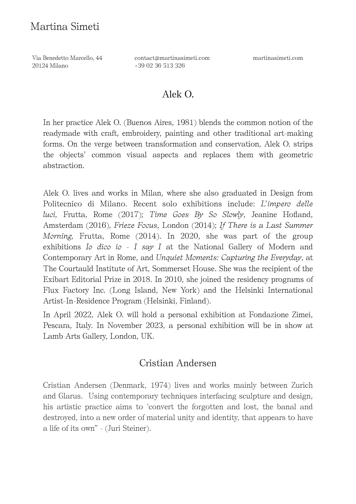Via Benedetto Marcello, 44 20124 Milano

contact@martinasimeti.com +39 02 36 513 326

martinasimeti.com

#### Alek O.

In her practice Alek O. (Buenos Aires, 1981) blends the common notion of the readymade with craft, embroidery, painting and other traditional art-making forms. On the verge between transformation and conservation, Alek O. strips the objects' common visual aspects and replaces them with geometric abstraction.

Alek O. lives and works in Milan, where she also graduated in Design from Politecnico di Milano. Recent solo exhibitions include: *L'impero delle luci,* Frutta, Rome (2017); *Time Goes By So Slowly*, Jeanine Hofland, Amsterdam (2016), *Frieze Focus*, London (2014); *If There is a Last Summer Morning,* Frutta, Rome (2014). In 2020, she was part of the group exhibitions *Io dico io - I say I* at the National Gallery of Modern and Contemporary Art in Rome, and *Unquiet Moments: Capturing the Everyday*, at The Courtauld Institute of Art, Sommerset House. She was the recipient of the Exibart Editorial Prize in 2018. In 2010, she joined the residency programs of Flux Factory Inc. (Long Island, New York) and the Helsinki International Artist-In-Residence Program (Helsinki, Finland).

In April 2022, Alek O. will hold a personal exhibition at Fondazione Zimei, Pescara, Italy. In November 2023, a personal exhibition will be in show at Lamb Arts Gallery, London, UK.

## Cristian Andersen

Cristian Andersen (Denmark, 1974) lives and works mainly between Zurich and Glarus. Using contemporary techniques interfacing sculpture and design, his artistic practice aims to "convert the forgotten and lost, the banal and destroyed, into a new order of material unity and identity, that appears to have a life of its own" - (Juri Steiner).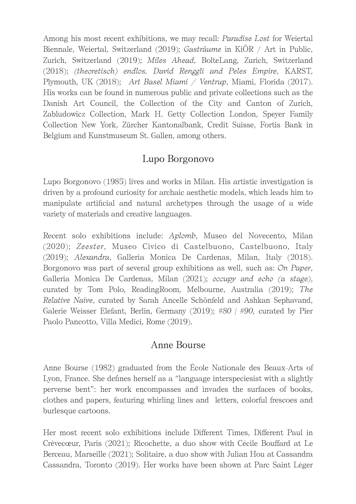Among his most recent exhibitions, we may recall: *Paradise Lost* for Weiertal Biennale, Weiertal, Switzerland (2019); *Gasträume* in KiÖR / Art in Public, Zurich, Switzerland (2019); *Miles Ahead*, BolteLang, Zurich, Switzerland (2018); *(theoretisch) endlos. David Renggli and Peles Empire*, KARST, Plymouth, UK (2018); *Art Basel Miami / Ventrup*, Miami, Florida (2017). His works can be found in numerous public and private collections such as the Danish Art Council, the Collection of the City and Canton of Zurich, Zabludowicz Collection, Mark H. Getty Collection London, Speyer Family Collection New York, Zürcher Kantonalbank, Credit Suisse, Fortis Bank in Belgium and Kunstmuseum St. Gallen, among others.

# Lupo Borgonovo

Lupo Borgonovo (1985) lives and works in Milan. His artistic investigation is driven by a profound curiosity for archaic aesthetic models, which leads him to manipulate artificial and natural archetypes through the usage of a wide variety of materials and creative languages.

Recent solo exhibitions include: *Aplomb*, Museo del Novecento, Milan (2020); *Zeester*, Museo Civico di Castelbuono, Castelbuono, Italy (2019); *Alexandra*, Galleria Monica De Cardenas, Milan, Italy (2018). Borgonovo was part of several group exhibitions as well, such as: *On Paper*, Galleria Monica De Cardenas, Milan (2021); *occupy and echo (a stage)*, curated by Tom Polo, ReadingRoom, Melbourne, Australia (2019); *The Relative Naive*, curated by Sarah Ancelle Schönfeld and Ashkan Sephavand, Galerie Weisser Elefant, Berlin, Germany (2019); *#80 | #90,* curated by Pier Paolo Pancotto, Villa Medici, Rome (2019).

## Anne Bourse

Anne Bourse (1982) graduated from the École Nationale des Beaux-Arts of Lyon, France. She defines herself as a "language interspeciesist with a slightly perverse bent": her work encompasses and invades the surfaces of books, clothes and papers, featuring whirling lines and letters, colorful frescoes and burlesque cartoons.

Her most recent solo exhibitions include Diferent Times, Diferent Paul in Crèvecœur, Paris (2021); Ricochette, a duo show with Cécile Boufard at Le Berceau, Marseille (2021); Solitaire, a duo show with Julian Hou at Cassandra Cassandra, Toronto (2019). Her works have been shown at Parc Saint Léger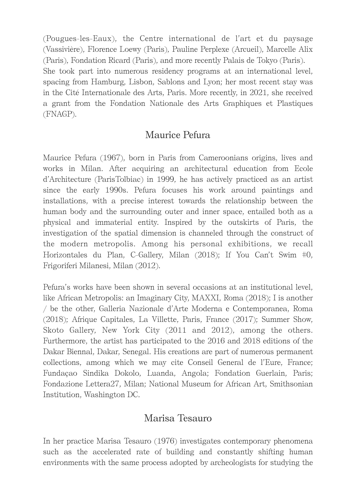(Pougues-les-Eaux), the Centre international de l'art et du paysage (Vassivière), Florence Loewy (Paris), Pauline Perplexe (Arcueil), Marcelle Alix (Paris), Fondation Ricard (Paris), and more recently Palais de Tokyo (Paris). She took part into numerous residency programs at an international level, spacing from Hamburg, Lisbon, Sablons and Lyon; her most recent stay was in the Cité Internationale des Arts, Paris. More recently, in 2021, she received a grant from the Fondation Nationale des Arts Graphiques et Plastiques (FNAGP).

### Maurice Pefura

Maurice Pefura (1967), born in Paris from Cameroonians origins, lives and works in Milan. After acquiring an architectural education from Ecole d'Architecture (ParisTolbiac) in 1999, he has actively practiced as an artist since the early 1990s. Pefura focuses his work around paintings and installations, with a precise interest towards the relationship between the human body and the surrounding outer and inner space, entailed both as a physical and immaterial entity. Inspired by the outskirts of Paris, the investigation of the spatial dimension is channeled through the construct of the modern metropolis. Among his personal exhibitions, we recall Horizontales du Plan, C-Gallery, Milan (2018); If You Can't Swim #0, Frigoriferi Milanesi, Milan (2012).

Pefura's works have been shown in several occasions at an institutional level, like African Metropolis: an Imaginary City, MAXXI, Roma (2018); I is another / be the other, Galleria Nazionale d'Arte Moderna e Contemporanea, Roma (2018); Afrique Capitales, La Villette, Paris, France (2017); Summer Show, Skoto Gallery, New York City (2011 and 2012), among the others. Furthermore, the artist has participated to the 2016 and 2018 editions of the Dakar Biennal, Dakar, Senegal. His creations are part of numerous permanent collections, among which we may cite Conseil General de l'Eure, France; Fundaçao Sindika Dokolo, Luanda, Angola; Fondation Guerlain, Paris; Fondazione Lettera27, Milan; National Museum for African Art, Smithsonian Institution, Washington DC.

#### Marisa Tesauro

In her practice Marisa Tesauro (1976) investigates contemporary phenomena such as the accelerated rate of building and constantly shifting human environments with the same process adopted by archeologists for studying the